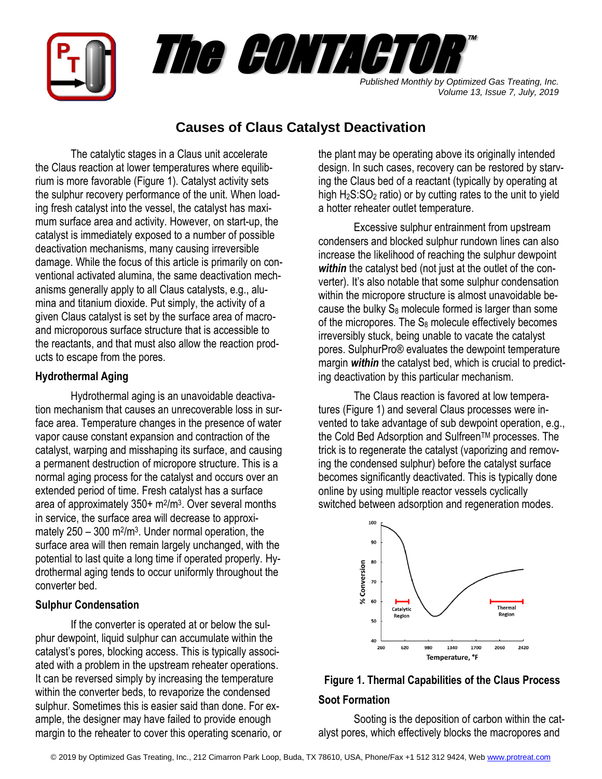

## **Causes of Claus Catalyst Deactivation**

The catalytic stages in a Claus unit accelerate the Claus reaction at lower temperatures where equilibrium is more favorable (Figure 1). Catalyst activity sets the sulphur recovery performance of the unit. When loading fresh catalyst into the vessel, the catalyst has maximum surface area and activity. However, on start-up, the catalyst is immediately exposed to a number of possible deactivation mechanisms, many causing irreversible damage. While the focus of this article is primarily on conventional activated alumina, the same deactivation mechanisms generally apply to all Claus catalysts, e.g., alumina and titanium dioxide. Put simply, the activity of a given Claus catalyst is set by the surface area of macroand microporous surface structure that is accessible to the reactants, and that must also allow the reaction products to escape from the pores.

## **Hydrothermal Aging**

Hydrothermal aging is an unavoidable deactivation mechanism that causes an unrecoverable loss in surface area. Temperature changes in the presence of water vapor cause constant expansion and contraction of the catalyst, warping and misshaping its surface, and causing a permanent destruction of micropore structure. This is a normal aging process for the catalyst and occurs over an extended period of time. Fresh catalyst has a surface area of approximately 350+ m<sup>2</sup>/m<sup>3</sup>. Over several months in service, the surface area will decrease to approximately  $250 - 300$  m<sup>2</sup>/m<sup>3</sup>. Under normal operation, the surface area will then remain largely unchanged, with the potential to last quite a long time if operated properly. Hydrothermal aging tends to occur uniformly throughout the converter bed.

## **Sulphur Condensation**

If the converter is operated at or below the sulphur dewpoint, liquid sulphur can accumulate within the catalyst's pores, blocking access. This is typically associated with a problem in the upstream reheater operations. It can be reversed simply by increasing the temperature within the converter beds, to revaporize the condensed sulphur. Sometimes this is easier said than done. For example, the designer may have failed to provide enough margin to the reheater to cover this operating scenario, or the plant may be operating above its originally intended design. In such cases, recovery can be restored by starving the Claus bed of a reactant (typically by operating at high  $H_2S:SO_2$  ratio) or by cutting rates to the unit to yield a hotter reheater outlet temperature.

Excessive sulphur entrainment from upstream condensers and blocked sulphur rundown lines can also increase the likelihood of reaching the sulphur dewpoint *within* the catalyst bed (not just at the outlet of the converter). It's also notable that some sulphur condensation within the micropore structure is almost unavoidable because the bulky  $S_8$  molecule formed is larger than some of the micropores. The  $S_8$  molecule effectively becomes irreversibly stuck, being unable to vacate the catalyst pores. SulphurPro® evaluates the dewpoint temperature margin *within* the catalyst bed, which is crucial to predicting deactivation by this particular mechanism.

The Claus reaction is favored at low temperatures (Figure 1) and several Claus processes were invented to take advantage of sub dewpoint operation, e.g., the Cold Bed Adsorption and Sulfreen™ processes. The trick is to regenerate the catalyst (vaporizing and removing the condensed sulphur) before the catalyst surface becomes significantly deactivated. This is typically done online by using multiple reactor vessels cyclically switched between adsorption and regeneration modes.



# **Figure 1. Thermal Capabilities of the Claus Process Soot Formation**

Sooting is the deposition of carbon within the catalyst pores, which effectively blocks the macropores and